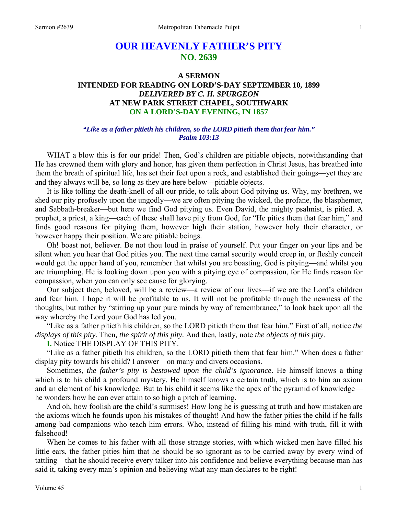# **OUR HEAVENLY FATHER'S PITY NO. 2639**

# **A SERMON INTENDED FOR READING ON LORD'S-DAY SEPTEMBER 10, 1899**  *DELIVERED BY C. H. SPURGEON*  **AT NEW PARK STREET CHAPEL, SOUTHWARK ON A LORD'S-DAY EVENING, IN 1857**

# *"Like as a father pitieth his children, so the LORD pitieth them that fear him." Psalm 103:13*

WHAT a blow this is for our pride! Then, God's children are pitiable objects, notwithstanding that He has crowned them with glory and honor, has given them perfection in Christ Jesus, has breathed into them the breath of spiritual life, has set their feet upon a rock, and established their goings—yet they are and they always will be, so long as they are here below—pitiable objects.

 It is like tolling the death-knell of all our pride, to talk about God pitying us. Why, my brethren, we shed our pity profusely upon the ungodly—we are often pitying the wicked, the profane, the blasphemer, and Sabbath-breaker—but here we find God pitying us. Even David, the mighty psalmist, is pitied. A prophet, a priest, a king—each of these shall have pity from God, for "He pities them that fear him," and finds good reasons for pitying them, however high their station, however holy their character, or however happy their position. We are pitiable beings.

 Oh! boast not, believer. Be not thou loud in praise of yourself. Put your finger on your lips and be silent when you hear that God pities you. The next time carnal security would creep in, or fleshly conceit would get the upper hand of you, remember that whilst you are boasting, God is pitying—and whilst you are triumphing, He is looking down upon you with a pitying eye of compassion, for He finds reason for compassion, when you can only see cause for glorying.

 Our subject then, beloved, will be a review—a review of our lives—if we are the Lord's children and fear him. I hope it will be profitable to us. It will not be profitable through the newness of the thoughts, but rather by "stirring up your pure minds by way of remembrance," to look back upon all the way whereby the Lord your God has led you.

 "Like as a father pitieth his children, so the LORD pitieth them that fear him." First of all, notice *the displays of this pity.* Then*, the spirit of this pity.* And then*,* lastly*,* note *the objects of this pity*.

**I.** Notice THE DISPLAY OF THIS PITY.

 "Like as a father pitieth his children, so the LORD pitieth them that fear him." When does a father display pity towards his child? I answer—on many and divers occasions.

 Sometimes, *the father's pity is bestowed upon the child's ignorance*. He himself knows a thing which is to his child a profound mystery. He himself knows a certain truth, which is to him an axiom and an element of his knowledge. But to his child it seems like the apex of the pyramid of knowledge he wonders how he can ever attain to so high a pitch of learning.

 And oh, how foolish are the child's surmises! How long he is guessing at truth and how mistaken are the axioms which he founds upon his mistakes of thought! And how the father pities the child if he falls among bad companions who teach him errors. Who, instead of filling his mind with truth, fill it with falsehood!

 When he comes to his father with all those strange stories, with which wicked men have filled his little ears, the father pities him that he should be so ignorant as to be carried away by every wind of tattling—that he should receive every talker into his confidence and believe everything because man has said it, taking every man's opinion and believing what any man declares to be right!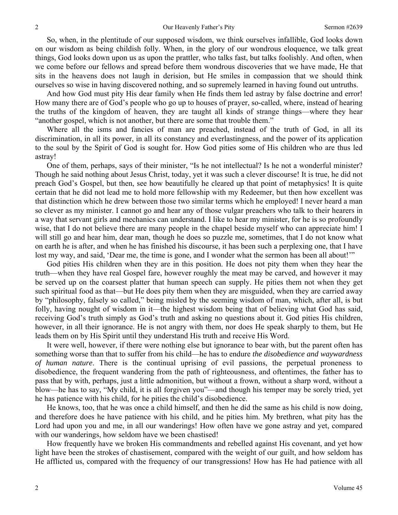So, when, in the plentitude of our supposed wisdom, we think ourselves infallible, God looks down on our wisdom as being childish folly. When, in the glory of our wondrous eloquence, we talk great things, God looks down upon us as upon the prattler, who talks fast, but talks foolishly. And often, when we come before our fellows and spread before them wondrous discoveries that we have made, He that sits in the heavens does not laugh in derision, but He smiles in compassion that we should think ourselves so wise in having discovered nothing, and so supremely learned in having found out untruths.

 And how God must pity His dear family when He finds them led astray by false doctrine and error! How many there are of God's people who go up to houses of prayer, so-called, where, instead of hearing the truths of the kingdom of heaven, they are taught all kinds of strange things—where they hear "another gospel, which is not another, but there are some that trouble them."

 Where all the isms and fancies of man are preached, instead of the truth of God, in all its discrimination, in all its power, in all its constancy and everlastingness, and the power of its application to the soul by the Spirit of God is sought for. How God pities some of His children who are thus led astray!

 One of them, perhaps, says of their minister, "Is he not intellectual? Is he not a wonderful minister? Though he said nothing about Jesus Christ, today, yet it was such a clever discourse! It is true, he did not preach God's Gospel, but then, see how beautifully he cleared up that point of metaphysics! It is quite certain that he did not lead me to hold more fellowship with my Redeemer, but then how excellent was that distinction which he drew between those two similar terms which he employed! I never heard a man so clever as my minister. I cannot go and hear any of those vulgar preachers who talk to their hearers in a way that servant girls and mechanics can understand. I like to hear my minister, for he is so profoundly wise, that I do not believe there are many people in the chapel beside myself who can appreciate him! I will still go and hear him, dear man, though he does so puzzle me, sometimes, that I do not know what on earth he is after, and when he has finished his discourse, it has been such a perplexing one, that I have lost my way, and said, 'Dear me, the time is gone, and I wonder what the sermon has been all about!'"

 God pities His children when they are in this position. He does not pity them when they hear the truth—when they have real Gospel fare, however roughly the meat may be carved, and however it may be served up on the coarsest platter that human speech can supply. He pities them not when they get such spiritual food as that—but He does pity them when they are misguided, when they are carried away by "philosophy, falsely so called," being misled by the seeming wisdom of man, which, after all, is but folly, having nought of wisdom in it—the highest wisdom being that of believing what God has said, receiving God's truth simply as God's truth and asking no questions about it. God pities His children, however, in all their ignorance. He is not angry with them, nor does He speak sharply to them, but He leads them on by His Spirit until they understand His truth and receive His Word.

 It were well, however, if there were nothing else but ignorance to bear with, but the parent often has something worse than that to suffer from his child—he has to endure *the disobedience and waywardness of human nature*. There is the continual uprising of evil passions, the perpetual proneness to disobedience, the frequent wandering from the path of righteousness, and oftentimes, the father has to pass that by with, perhaps, just a little admonition, but without a frown, without a sharp word, without a blow—he has to say, "My child, it is all forgiven you"—and though his temper may be sorely tried, yet he has patience with his child, for he pities the child's disobedience.

 He knows, too, that he was once a child himself, and then he did the same as his child is now doing, and therefore does he have patience with his child, and he pities him. My brethren, what pity has the Lord had upon you and me, in all our wanderings! How often have we gone astray and yet, compared with our wanderings, how seldom have we been chastised!

 How frequently have we broken His commandments and rebelled against His covenant, and yet how light have been the strokes of chastisement, compared with the weight of our guilt, and how seldom has He afflicted us, compared with the frequency of our transgressions! How has He had patience with all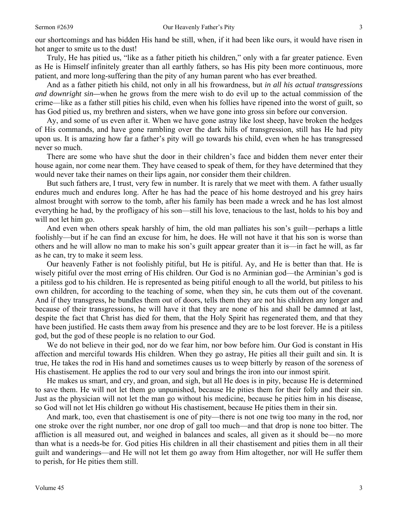our shortcomings and has bidden His hand be still, when, if it had been like ours, it would have risen in hot anger to smite us to the dust!

 Truly, He has pitied us, "like as a father pitieth his children," only with a far greater patience. Even as He is Himself infinitely greater than all earthly fathers, so has His pity been more continuous, more patient, and more long-suffering than the pity of any human parent who has ever breathed.

 And as a father pitieth his child, not only in all his frowardness, but *in all his actual transgressions and downright sin—*when he grows from the mere wish to do evil up to the actual commission of the crime—like as a father still pities his child, even when his follies have ripened into the worst of guilt, so has God pitied us, my brethren and sisters, when we have gone into gross sin before our conversion.

 Ay, and some of us even after it. When we have gone astray like lost sheep, have broken the hedges of His commands, and have gone rambling over the dark hills of transgression, still has He had pity upon us. It is amazing how far a father's pity will go towards his child, even when he has transgressed never so much.

 There are some who have shut the door in their children's face and bidden them never enter their house again, nor come near them. They have ceased to speak of them, for they have determined that they would never take their names on their lips again, nor consider them their children.

 But such fathers are, I trust, very few in number. It is rarely that we meet with them. A father usually endures much and endures long. After he has had the peace of his home destroyed and his grey hairs almost brought with sorrow to the tomb, after his family has been made a wreck and he has lost almost everything he had, by the profligacy of his son—still his love, tenacious to the last, holds to his boy and will not let him go.

 And even when others speak harshly of him, the old man palliates his son's guilt—perhaps a little foolishly—but if he can find an excuse for him, he does. He will not have it that his son is worse than others and he will allow no man to make his son's guilt appear greater than it is—in fact he will, as far as he can, try to make it seem less.

 Our heavenly Father is not foolishly pitiful, but He is pitiful. Ay, and He is better than that. He is wisely pitiful over the most erring of His children. Our God is no Arminian god—the Arminian's god is a pitiless god to his children. He is represented as being pitiful enough to all the world, but pitiless to his own children, for according to the teaching of some, when they sin, he cuts them out of the covenant. And if they transgress, he bundles them out of doors, tells them they are not his children any longer and because of their transgressions, he will have it that they are none of his and shall be damned at last, despite the fact that Christ has died for them, that the Holy Spirit has regenerated them, and that they have been justified. He casts them away from his presence and they are to be lost forever. He is a pitiless god, but the god of these people is no relation to our God.

 We do not believe in their god, nor do we fear him, nor bow before him. Our God is constant in His affection and merciful towards His children. When they go astray, He pities all their guilt and sin. It is true, He takes the rod in His hand and sometimes causes us to weep bitterly by reason of the soreness of His chastisement. He applies the rod to our very soul and brings the iron into our inmost spirit.

 He makes us smart, and cry, and groan, and sigh, but all He does is in pity, because He is determined to save them. He will not let them go unpunished, because He pities them for their folly and their sin. Just as the physician will not let the man go without his medicine, because he pities him in his disease, so God will not let His children go without His chastisement, because He pities them in their sin.

 And mark, too, even that chastisement is one of pity—there is not one twig too many in the rod, nor one stroke over the right number, nor one drop of gall too much—and that drop is none too bitter. The affliction is all measured out, and weighed in balances and scales, all given as it should be—no more than what is a needs-be for. God pities His children in all their chastisement and pities them in all their guilt and wanderings—and He will not let them go away from Him altogether, nor will He suffer them to perish, for He pities them still.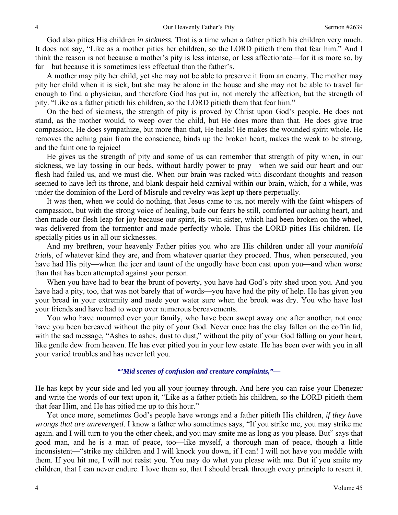God also pities His children *in sickness.* That is a time when a father pitieth his children very much. It does not say, "Like as a mother pities her children, so the LORD pitieth them that fear him." And I think the reason is not because a mother's pity is less intense, or less affectionate—for it is more so, by far—but because it is sometimes less effectual than the father's.

 A mother may pity her child, yet she may not be able to preserve it from an enemy. The mother may pity her child when it is sick, but she may be alone in the house and she may not be able to travel far enough to find a physician, and therefore God has put in, not merely the affection, but the strength of pity. "Like as a father pitieth his children, so the LORD pitieth them that fear him."

 On the bed of sickness, the strength of pity is proved by Christ upon God's people. He does not stand, as the mother would, to weep over the child, but He does more than that. He does give true compassion, He does sympathize, but more than that, He heals! He makes the wounded spirit whole. He removes the aching pain from the conscience, binds up the broken heart, makes the weak to be strong, and the faint one to rejoice!

 He gives us the strength of pity and some of us can remember that strength of pity when, in our sickness, we lay tossing in our beds, without hardly power to pray—when we said our heart and our flesh had failed us, and we must die. When our brain was racked with discordant thoughts and reason seemed to have left its throne, and blank despair held carnival within our brain, which, for a while, was under the dominion of the Lord of Misrule and revelry was kept up there perpetually.

 It was then, when we could do nothing, that Jesus came to us, not merely with the faint whispers of compassion, but with the strong voice of healing, bade our fears be still, comforted our aching heart, and then made our flesh leap for joy because our spirit, its twin sister, which had been broken on the wheel, was delivered from the tormentor and made perfectly whole. Thus the LORD pities His children. He specially pities us in all our sicknesses.

 And my brethren, your heavenly Father pities you who are His children under all your *manifold trials*, of whatever kind they are, and from whatever quarter they proceed. Thus, when persecuted, you have had His pity—when the jeer and taunt of the ungodly have been cast upon you—and when worse than that has been attempted against your person.

 When you have had to bear the brunt of poverty, you have had God's pity shed upon you. And you have had a pity, too, that was not barely that of words—you have had the pity of help. He has given you your bread in your extremity and made your water sure when the brook was dry. You who have lost your friends and have had to weep over numerous bereavements.

 You who have mourned over your family, who have been swept away one after another, not once have you been bereaved without the pity of your God. Never once has the clay fallen on the coffin lid, with the sad message, "Ashes to ashes, dust to dust," without the pity of your God falling on your heart, like gentle dew from heaven. He has ever pitied you in your low estate. He has been ever with you in all your varied troubles and has never left you.

#### *"'Mid scenes of confusion and creature complaints,"—*

He has kept by your side and led you all your journey through. And here you can raise your Ebenezer and write the words of our text upon it, "Like as a father pitieth his children, so the LORD pitieth them that fear Him, and He has pitied me up to this hour."

 Yet once more, sometimes God's people have wrongs and a father pitieth His children, *if they have wrongs that are unrevenged*. I know a father who sometimes says, "If you strike me, you may strike me again. and I will turn to you the other cheek, and you may smite me as long as you please. But" says that good man, and he is a man of peace, too—like myself, a thorough man of peace, though a little inconsistent—"strike my children and I will knock you down, if I can! I will not have you meddle with them. If you hit me, I will not resist you. You may do what you please with me. But if you smite my children, that I can never endure. I love them so, that I should break through every principle to resent it.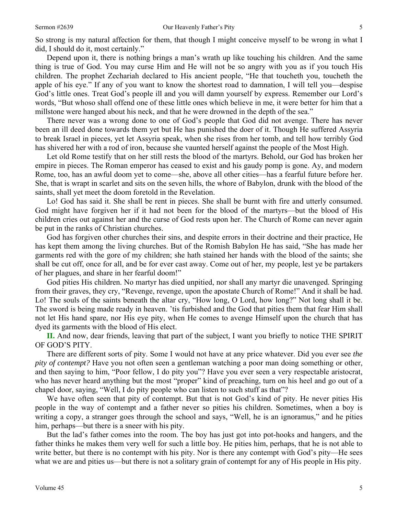Depend upon it, there is nothing brings a man's wrath up like touching his children. And the same thing is true of God. You may curse Him and He will not be so angry with you as if you touch His children. The prophet Zechariah declared to His ancient people, "He that toucheth you, toucheth the apple of his eye." If any of you want to know the shortest road to damnation, I will tell you—despise God's little ones. Treat God's people ill and you will damn yourself by express. Remember our Lord's words, "But whoso shall offend one of these little ones which believe in me, it were better for him that a millstone were hanged about his neck, and that he were drowned in the depth of the sea."

 There never was a wrong done to one of God's people that God did not avenge. There has never been an ill deed done towards them yet but He has punished the doer of it. Though He suffered Assyria to break Israel in pieces, yet let Assyria speak, when she rises from her tomb, and tell how terribly God has shivered her with a rod of iron, because she vaunted herself against the people of the Most High.

 Let old Rome testify that on her still rests the blood of the martyrs. Behold, our God has broken her empire in pieces. The Roman emperor has ceased to exist and his gaudy pomp is gone. Ay, and modern Rome, too, has an awful doom yet to come—she, above all other cities—has a fearful future before her. She, that is wrapt in scarlet and sits on the seven hills, the whore of Babylon, drunk with the blood of the saints, shall yet meet the doom foretold in the Revelation.

 Lo! God has said it. She shall be rent in pieces. She shall be burnt with fire and utterly consumed. God might have forgiven her if it had not been for the blood of the martyrs—but the blood of His children cries out against her and the curse of God rests upon her. The Church of Rome can never again be put in the ranks of Christian churches.

 God has forgiven other churches their sins, and despite errors in their doctrine and their practice, He has kept them among the living churches. But of the Romish Babylon He has said, "She has made her garments red with the gore of my children; she hath stained her hands with the blood of the saints; she shall be cut off, once for all, and be for ever cast away. Come out of her, my people, lest ye be partakers of her plagues, and share in her fearful doom!"

 God pities His children. No martyr has died unpitied, nor shall any martyr die unavenged. Springing from their graves, they cry, "Revenge, revenge, upon the apostate Church of Rome!" And it shall be had. Lo! The souls of the saints beneath the altar cry, "How long, O Lord, how long?" Not long shall it be. The sword is being made ready in heaven. 'tis furbished and the God that pities them that fear Him shall not let His hand spare, nor His eye pity, when He comes to avenge Himself upon the church that has dyed its garments with the blood of His elect.

**II.** And now, dear friends, leaving that part of the subject, I want you briefly to notice THE SPIRIT OF GOD'S PITY.

 There are different sorts of pity. Some I would not have at any price whatever. Did you ever see *the pity of contempt?* Have you not often seen a gentleman watching a poor man doing something or other, and then saying to him, "Poor fellow, I do pity you"? Have you ever seen a very respectable aristocrat, who has never heard anything but the most "proper" kind of preaching, turn on his heel and go out of a chapel door, saying, "Well, I do pity people who can listen to such stuff as that"?

 We have often seen that pity of contempt. But that is not God's kind of pity. He never pities His people in the way of contempt and a father never so pities his children. Sometimes, when a boy is writing a copy, a stranger goes through the school and says, "Well, he is an ignoramus," and he pities him, perhaps—but there is a sneer with his pity.

 But the lad's father comes into the room. The boy has just got into pot-hooks and hangers, and the father thinks he makes them very well for such a little boy. He pities him, perhaps, that he is not able to write better, but there is no contempt with his pity. Nor is there any contempt with God's pity—He sees what we are and pities us—but there is not a solitary grain of contempt for any of His people in His pity.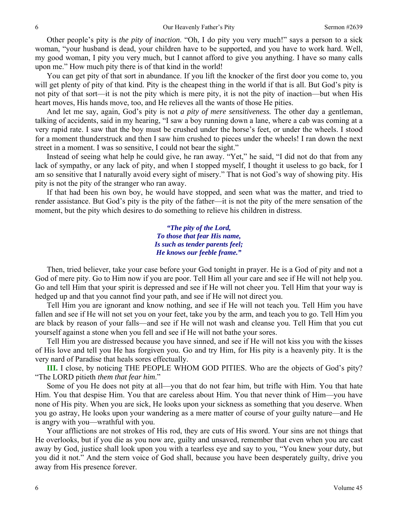Other people's pity is *the pity of inaction*. "Oh, I do pity you very much!" says a person to a sick woman, "your husband is dead, your children have to be supported, and you have to work hard. Well, my good woman, I pity you very much, but I cannot afford to give you anything. I have so many calls upon me." How much pity there is of that kind in the world!

 You can get pity of that sort in abundance. If you lift the knocker of the first door you come to, you will get plenty of pity of that kind. Pity is the cheapest thing in the world if that is all. But God's pity is not pity of that sort—it is not the pity which is mere pity, it is not the pity of inaction—but when His heart moves, His hands move, too, and He relieves all the wants of those He pities.

 And let me say, again, God's pity is not *a pity of mere sensitiveness.* The other day a gentleman, talking of accidents, said in my hearing, "I saw a boy running down a lane, where a cab was coming at a very rapid rate. I saw that the boy must be crushed under the horse's feet, or under the wheels. I stood for a moment thunderstruck and then I saw him crushed to pieces under the wheels! I ran down the next street in a moment. I was so sensitive, I could not bear the sight."

 Instead of seeing what help he could give, he ran away. "Yet," he said, "I did not do that from any lack of sympathy, or any lack of pity, and when I stopped myself, I thought it useless to go back, for I am so sensitive that I naturally avoid every sight of misery." That is not God's way of showing pity. His pity is not the pity of the stranger who ran away.

 If that had been his own boy, he would have stopped, and seen what was the matter, and tried to render assistance. But God's pity is the pity of the father—it is not the pity of the mere sensation of the moment, but the pity which desires to do something to relieve his children in distress.

> *"The pity of the Lord, To those that fear His name, Is such as tender parents feel; He knows our feeble frame."*

Then, tried believer, take your case before your God tonight in prayer. He is a God of pity and not a God of mere pity. Go to Him now if you are poor. Tell Him all your care and see if He will not help you. Go and tell Him that your spirit is depressed and see if He will not cheer you. Tell Him that your way is hedged up and that you cannot find your path, and see if He will not direct you.

 Tell Him you are ignorant and know nothing, and see if He will not teach you. Tell Him you have fallen and see if He will not set you on your feet, take you by the arm, and teach you to go. Tell Him you are black by reason of your falls—and see if He will not wash and cleanse you. Tell Him that you cut yourself against a stone when you fell and see if He will not bathe your sores.

 Tell Him you are distressed because you have sinned, and see if He will not kiss you with the kisses of His love and tell you He has forgiven you. Go and try Him, for His pity is a heavenly pity. It is the very nard of Paradise that heals sores effectually.

**III.** I close, by noticing THE PEOPLE WHOM GOD PITIES. Who are the objects of God's pity? "The LORD pitieth *them that fear him*."

 Some of you He does not pity at all—you that do not fear him, but trifle with Him. You that hate Him. You that despise Him. You that are careless about Him. You that never think of Him—you have none of His pity. When you are sick, He looks upon your sickness as something that you deserve. When you go astray, He looks upon your wandering as a mere matter of course of your guilty nature—and He is angry with you—wrathful with you.

 Your afflictions are not strokes of His rod, they are cuts of His sword. Your sins are not things that He overlooks, but if you die as you now are, guilty and unsaved, remember that even when you are cast away by God, justice shall look upon you with a tearless eye and say to you, "You knew your duty, but you did it not." And the stern voice of God shall, because you have been desperately guilty, drive you away from His presence forever.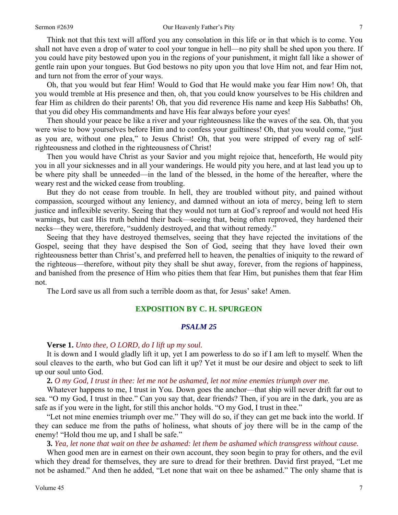Think not that this text will afford you any consolation in this life or in that which is to come. You shall not have even a drop of water to cool your tongue in hell—no pity shall be shed upon you there. If you could have pity bestowed upon you in the regions of your punishment, it might fall like a shower of gentle rain upon your tongues. But God bestows no pity upon you that love Him not, and fear Him not, and turn not from the error of your ways.

 Oh, that you would but fear Him! Would to God that He would make you fear Him now! Oh, that you would tremble at His presence and then, oh, that you could know yourselves to be His children and fear Him as children do their parents! Oh, that you did reverence His name and keep His Sabbaths! Oh, that you did obey His commandments and have His fear always before your eyes!

 Then should your peace be like a river and your righteousness like the waves of the sea. Oh, that you were wise to bow yourselves before Him and to confess your guiltiness! Oh, that you would come, "just as you are, without one plea," to Jesus Christ! Oh, that you were stripped of every rag of selfrighteousness and clothed in the righteousness of Christ!

 Then you would have Christ as your Savior and you might rejoice that, henceforth, He would pity you in all your sicknesses and in all your wanderings. He would pity you here, and at last lead you up to be where pity shall be unneeded—in the land of the blessed, in the home of the hereafter, where the weary rest and the wicked cease from troubling.

 But they do not cease from trouble. In hell, they are troubled without pity, and pained without compassion, scourged without any leniency, and damned without an iota of mercy, being left to stern justice and inflexible severity. Seeing that they would not turn at God's reproof and would not heed His warnings, but cast His truth behind their back—seeing that, being often reproved, they hardened their necks—they were, therefore, "suddenly destroyed, and that without remedy."

 Seeing that they have destroyed themselves, seeing that they have rejected the invitations of the Gospel, seeing that they have despised the Son of God, seeing that they have loved their own righteousness better than Christ's, and preferred hell to heaven, the penalties of iniquity to the reward of the righteous—therefore, without pity they shall be shut away, forever, from the regions of happiness, and banished from the presence of Him who pities them that fear Him, but punishes them that fear Him not.

The Lord save us all from such a terrible doom as that, for Jesus' sake! Amen.

# **EXPOSITION BY C. H. SPURGEON**

# *PSALM 25*

#### **Verse 1.** *Unto thee, O LORD, do I lift up my soul.*

It is down and I would gladly lift it up, yet I am powerless to do so if I am left to myself. When the soul cleaves to the earth, who but God can lift it up? Yet it must be our desire and object to seek to lift up our soul unto God.

**2.** *O my God, I trust in thee: let me not be ashamed, let not mine enemies triumph over me.* 

Whatever happens to me, I trust in You. Down goes the anchor—that ship will never drift far out to sea. "O my God, I trust in thee." Can you say that, dear friends? Then, if you are in the dark, you are as safe as if you were in the light, for still this anchor holds. "O my God, I trust in thee."

 "Let not mine enemies triumph over me." They will do so, if they can get me back into the world. If they can seduce me from the paths of holiness, what shouts of joy there will be in the camp of the enemy! "Hold thou me up, and I shall be safe."

**3.** *Yea, let none that wait on thee be ashamed: let them be ashamed which transgress without cause.* 

When good men are in earnest on their own account, they soon begin to pray for others, and the evil which they dread for themselves, they are sure to dread for their brethren. David first prayed, "Let me not be ashamed." And then he added, "Let none that wait on thee be ashamed." The only shame that is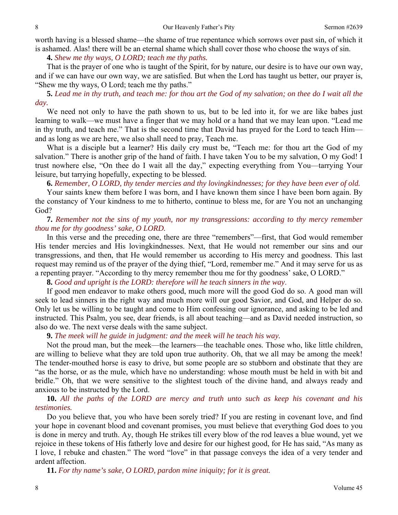worth having is a blessed shame—the shame of true repentance which sorrows over past sin, of which it is ashamed. Alas! there will be an eternal shame which shall cover those who choose the ways of sin.

### **4.** *Shew me thy ways, O LORD; teach me thy paths.*

That is the prayer of one who is taught of the Spirit, for by nature, our desire is to have our own way, and if we can have our own way, we are satisfied. But when the Lord has taught us better, our prayer is, "Shew me thy ways, O Lord; teach me thy paths."

**5.** *Lead me in thy truth, and teach me: for thou art the God of my salvation; on thee do I wait all the day.* 

We need not only to have the path shown to us, but to be led into it, for we are like babes just learning to walk—we must have a finger that we may hold or a hand that we may lean upon. "Lead me in thy truth, and teach me." That is the second time that David has prayed for the Lord to teach Him and as long as we are here, we also shall need to pray, Teach me.

 What is a disciple but a learner? His daily cry must be, "Teach me: for thou art the God of my salvation." There is another grip of the hand of faith. I have taken You to be my salvation, O my God! I trust nowhere else, "On thee do I wait all the day," expecting everything from You—tarrying Your leisure, but tarrying hopefully, expecting to be blessed.

**6.** *Remember, O LORD, thy tender mercies and thy lovingkindnesses; for they have been ever of old.* 

Your saints knew them before I was born, and I have known them since I have been born again. By the constancy of Your kindness to me to hitherto, continue to bless me, for are You not an unchanging God?

# **7.** *Remember not the sins of my youth, nor my transgressions: according to thy mercy remember thou me for thy goodness' sake, O LORD.*

In this verse and the preceding one, there are three "remembers"—first, that God would remember His tender mercies and His lovingkindnesses. Next, that He would not remember our sins and our transgressions, and then, that He would remember us according to His mercy and goodness. This last request may remind us of the prayer of the dying thief, "Lord, remember me." And it may serve for us as a repenting prayer. "According to thy mercy remember thou me for thy goodness' sake, O LORD."

### **8.** *Good and upright is the LORD: therefore will he teach sinners in the way*.

 If good men endeavor to make others good, much more will the good God do so. A good man will seek to lead sinners in the right way and much more will our good Savior, and God, and Helper do so. Only let us be willing to be taught and come to Him confessing our ignorance, and asking to be led and instructed. This Psalm, you see, dear friends, is all about teaching—and as David needed instruction, so also do we. The next verse deals with the same subject.

**9.** *The meek will he guide in judgment: and the meek will he teach his way.* 

Not the proud man, but the meek—the learners—the teachable ones. Those who, like little children, are willing to believe what they are told upon true authority. Oh, that we all may be among the meek! The tender-mouthed horse is easy to drive, but some people are so stubborn and obstinate that they are "as the horse, or as the mule, which have no understanding: whose mouth must be held in with bit and bridle." Oh, that we were sensitive to the slightest touch of the divine hand, and always ready and anxious to be instructed by the Lord.

**10.** *All the paths of the LORD are mercy and truth unto such as keep his covenant and his testimonies.* 

Do you believe that, you who have been sorely tried? If you are resting in covenant love, and find your hope in covenant blood and covenant promises, you must believe that everything God does to you is done in mercy and truth. Ay, though He strikes till every blow of the rod leaves a blue wound, yet we rejoice in these tokens of His fatherly love and desire for our highest good, for He has said, "As many as I love, I rebuke and chasten." The word "love" in that passage conveys the idea of a very tender and ardent affection.

**11.** *For thy name's sake, O LORD, pardon mine iniquity; for it is great.*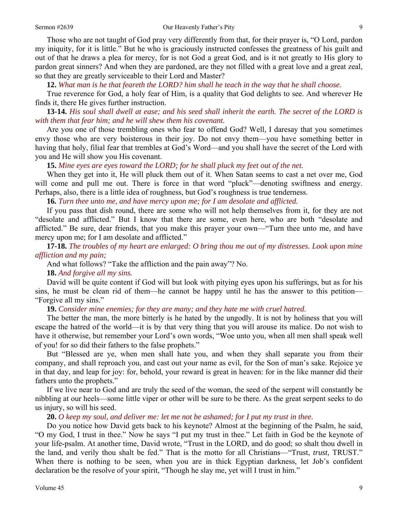Those who are not taught of God pray very differently from that, for their prayer is, "O Lord, pardon my iniquity, for it is little." But he who is graciously instructed confesses the greatness of his guilt and out of that he draws a plea for mercy, for is not God a great God, and is it not greatly to His glory to pardon great sinners? And when they are pardoned, are they not filled with a great love and a great zeal, so that they are greatly serviceable to their Lord and Master?

**12.** *What man is he that feareth the LORD? him shall he teach in the way that he shall choose.* 

True reverence for God, a holy fear of Him, is a quality that God delights to see. And wherever He finds it, there He gives further instruction.

**13-14.** *His soul shall dwell at ease; and his seed shall inherit the earth. The secret of the LORD is with them that fear him; and he will shew them his covenant.* 

Are you one of those trembling ones who fear to offend God? Well, I daresay that you sometimes envy those who are very boisterous in their joy. Do not envy them—you have something better in having that holy, filial fear that trembles at God's Word—and you shall have the secret of the Lord with you and He will show you His covenant.

**15.** *Mine eyes are eyes toward the LORD; for he shall pluck my feet out of the net.* 

When they get into it, He will pluck them out of it. When Satan seems to cast a net over me, God will come and pull me out. There is force in that word "pluck"—denoting swiftness and energy. Perhaps, also, there is a little idea of roughness, but God's roughness is true tenderness.

**16***. Turn thee unto me, and have mercy upon me; for I am desolate and afflicted.* 

If you pass that dish round, there are some who will not help themselves from it, for they are not "desolate and afflicted." But I know that there are some, even here, who are both "desolate and afflicted." Be sure, dear friends, that you make this prayer your own—"Turn thee unto me, and have mercy upon me; for I am desolate and afflicted."

**17-18.** *The troubles of my heart are enlarged: O bring thou me out of my distresses. Look upon mine affliction and my pain;* 

And what follows? "Take the affliction and the pain away"? No.

### **18.** *And forgive all my sins.*

David will be quite content if God will but look with pitying eyes upon his sufferings, but as for his sins, he must be clean rid of them—he cannot be happy until he has the answer to this petition— "Forgive all my sins."

**19.** *Consider mine enemies; for they are many; and they hate me with cruel hatred.* 

The better the man, the more bitterly is he hated by the ungodly. It is not by holiness that you will escape the hatred of the world—it is by that very thing that you will arouse its malice. Do not wish to have it otherwise, but remember your Lord's own words, "Woe unto you, when all men shall speak well of you! for so did their fathers to the false prophets."

 But "Blessed are ye, when men shall hate you, and when they shall separate you from their company, and shall reproach you, and cast out your name as evil, for the Son of man's sake. Rejoice ye in that day, and leap for joy: for, behold, your reward is great in heaven: for in the like manner did their fathers unto the prophets."

 If we live near to God and are truly the seed of the woman, the seed of the serpent will constantly be nibbling at our heels—some little viper or other will be sure to be there. As the great serpent seeks to do us injury, so will his seed.

#### **20.** *O keep my soul, and deliver me: let me not be ashamed; for I put my trust in thee.*

Do you notice how David gets back to his keynote? Almost at the beginning of the Psalm, he said, "O my God, I trust in thee." Now he says "I put my trust in thee." Let faith in God be the keynote of your life-psalm. At another time, David wrote, "Trust in the LORD, and do good; so shalt thou dwell in the land, and verily thou shalt be fed." That is the motto for all Christians—"Trust, *trust*, TRUST." When there is nothing to be seen, when you are in thick Egyptian darkness, let Job's confident declaration be the resolve of your spirit, "Though he slay me, yet will I trust in him."